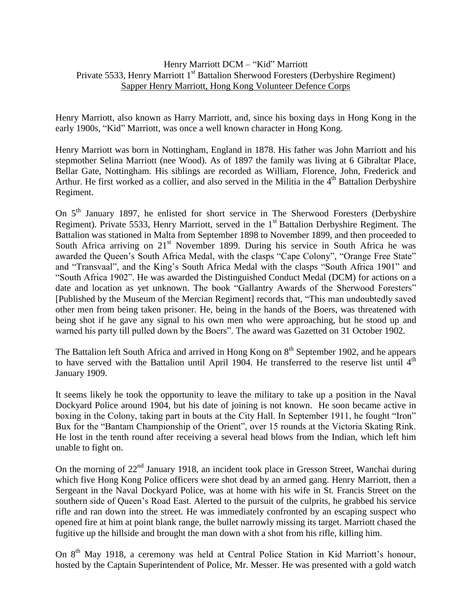## Henry Marriott DCM – "Kid" Marriott Private 5533, Henry Marriott 1<sup>st</sup> Battalion Sherwood Foresters (Derbyshire Regiment) Sapper Henry Marriott, Hong Kong Volunteer Defence Corps

Henry Marriott, also known as Harry Marriott, and, since his boxing days in Hong Kong in the early 1900s, "Kid" Marriott, was once a well known character in Hong Kong.

Henry Marriott was born in Nottingham, England in 1878. His father was John Marriott and his stepmother Selina Marriott (nee Wood). As of 1897 the family was living at 6 Gibraltar Place, Bellar Gate, Nottingham. His siblings are recorded as William, Florence, John, Frederick and Arthur. He first worked as a collier, and also served in the Militia in the 4<sup>th</sup> Battalion Derbyshire Regiment.

On  $5<sup>th</sup>$  January 1897, he enlisted for short service in The Sherwood Foresters (Derbyshire Regiment). Private 5533, Henry Marriott, served in the 1<sup>st</sup> Battalion Derbyshire Regiment. The Battalion was stationed in Malta from September 1898 to November 1899, and then proceeded to South Africa arriving on  $21<sup>st</sup>$  November 1899. During his service in South Africa he was awarded the Queen's South Africa Medal, with the clasps "Cape Colony", "Orange Free State" and "Transvaal", and the King's South Africa Medal with the clasps "South Africa 1901" and "South Africa 1902". He was awarded the Distinguished Conduct Medal (DCM) for actions on a date and location as yet unknown. The book "Gallantry Awards of the Sherwood Foresters" [Published by the Museum of the Mercian Regiment] records that, "This man undoubtedly saved other men from being taken prisoner. He, being in the hands of the Boers, was threatened with being shot if he gave any signal to his own men who were approaching, but he stood up and warned his party till pulled down by the Boers". The award was Gazetted on 31 October 1902.

The Battalion left South Africa and arrived in Hong Kong on 8<sup>th</sup> September 1902, and he appears to have served with the Battalion until April 1904. He transferred to the reserve list until 4<sup>th</sup> January 1909.

It seems likely he took the opportunity to leave the military to take up a position in the Naval Dockyard Police around 1904, but his date of joining is not known. He soon became active in boxing in the Colony, taking part in bouts at the City Hall. In September 1911, he fought "Iron" Bux for the "Bantam Championship of the Orient", over 15 rounds at the Victoria Skating Rink. He lost in the tenth round after receiving a several head blows from the Indian, which left him unable to fight on.

On the morning of  $22<sup>nd</sup>$  January 1918, an incident took place in Gresson Street, Wanchai during which five Hong Kong Police officers were shot dead by an armed gang. Henry Marriott, then a Sergeant in the Naval Dockyard Police, was at home with his wife in St. Francis Street on the southern side of Queen's Road East. Alerted to the pursuit of the culprits, he grabbed his service rifle and ran down into the street. He was immediately confronted by an escaping suspect who opened fire at him at point blank range, the bullet narrowly missing its target. Marriott chased the fugitive up the hillside and brought the man down with a shot from his rifle, killing him.

On 8<sup>th</sup> May 1918, a ceremony was held at Central Police Station in Kid Marriott's honour, hosted by the Captain Superintendent of Police, Mr. Messer. He was presented with a gold watch